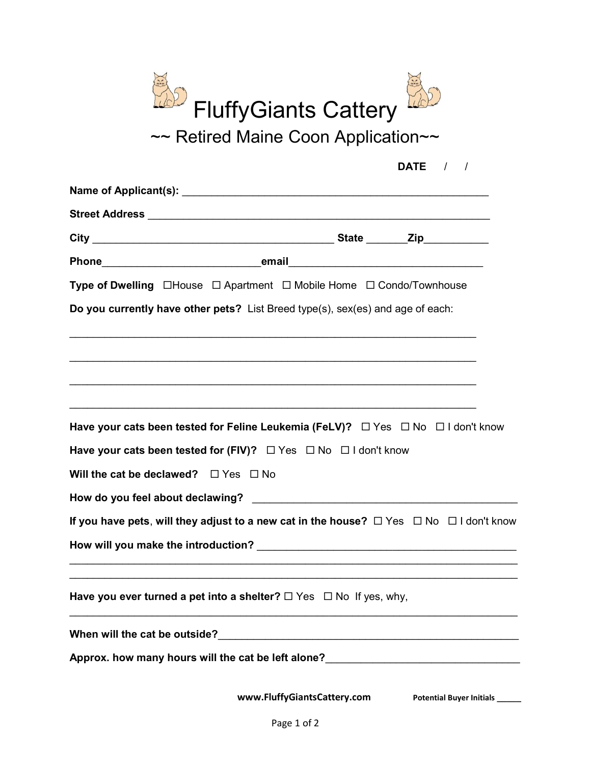

|                                                | DATE $/$ /                                                                                                                                                                        |
|------------------------------------------------|-----------------------------------------------------------------------------------------------------------------------------------------------------------------------------------|
|                                                | Name of Applicant(s): the contraction of the contraction of Applicant (s):                                                                                                        |
|                                                |                                                                                                                                                                                   |
|                                                |                                                                                                                                                                                   |
|                                                |                                                                                                                                                                                   |
|                                                | Type of Dwelling □House □ Apartment □ Mobile Home □ Condo/Townhouse                                                                                                               |
|                                                | Do you currently have other pets? List Breed type(s), sex(es) and age of each:                                                                                                    |
|                                                | <u> 1989 - Johann Stoff, deutscher Stoff, der Stoff, der Stoff, der Stoff, der Stoff, der Stoff, der Stoff, der S</u>                                                             |
|                                                | ,我们也不能在这里的时候,我们也不能在这里的时候,我们也不能会在这里的时候,我们也不能会在这里的时候,我们也不能会在这里的时候,我们也不能会在这里的时候,我们也                                                                                                  |
|                                                |                                                                                                                                                                                   |
|                                                | Have your cats been tested for Feline Leukemia (FeLV)? $\Box$ Yes $\Box$ No $\Box$ I don't know<br>Have your cats been tested for (FIV)? $\Box$ Yes $\Box$ No $\Box$ I don't know |
| Will the cat be declawed? $\Box$ Yes $\Box$ No |                                                                                                                                                                                   |
|                                                |                                                                                                                                                                                   |
|                                                | If you have pets, will they adjust to a new cat in the house? $\Box$ Yes $\Box$ No $\Box$ I don't know                                                                            |
|                                                |                                                                                                                                                                                   |
|                                                | ,我们也不能在这里的时候,我们也不能在这里的时候,我们也不能不能不能不能不能不能不能不能不能不能不能。""我们的人们也不能不能不能不能不能不能不能不能不能不能不<br>Have you ever turned a pet into a shelter? $\Box$ Yes $\Box$ No If yes, why,                  |
|                                                |                                                                                                                                                                                   |
| When will the cat be outside?                  | <u> 1989 - Johann Stoff, fransk politik (d. 1989)</u>                                                                                                                             |

www.FluffyGiantsCattery.com Potential Buyer Initials \_\_\_\_\_